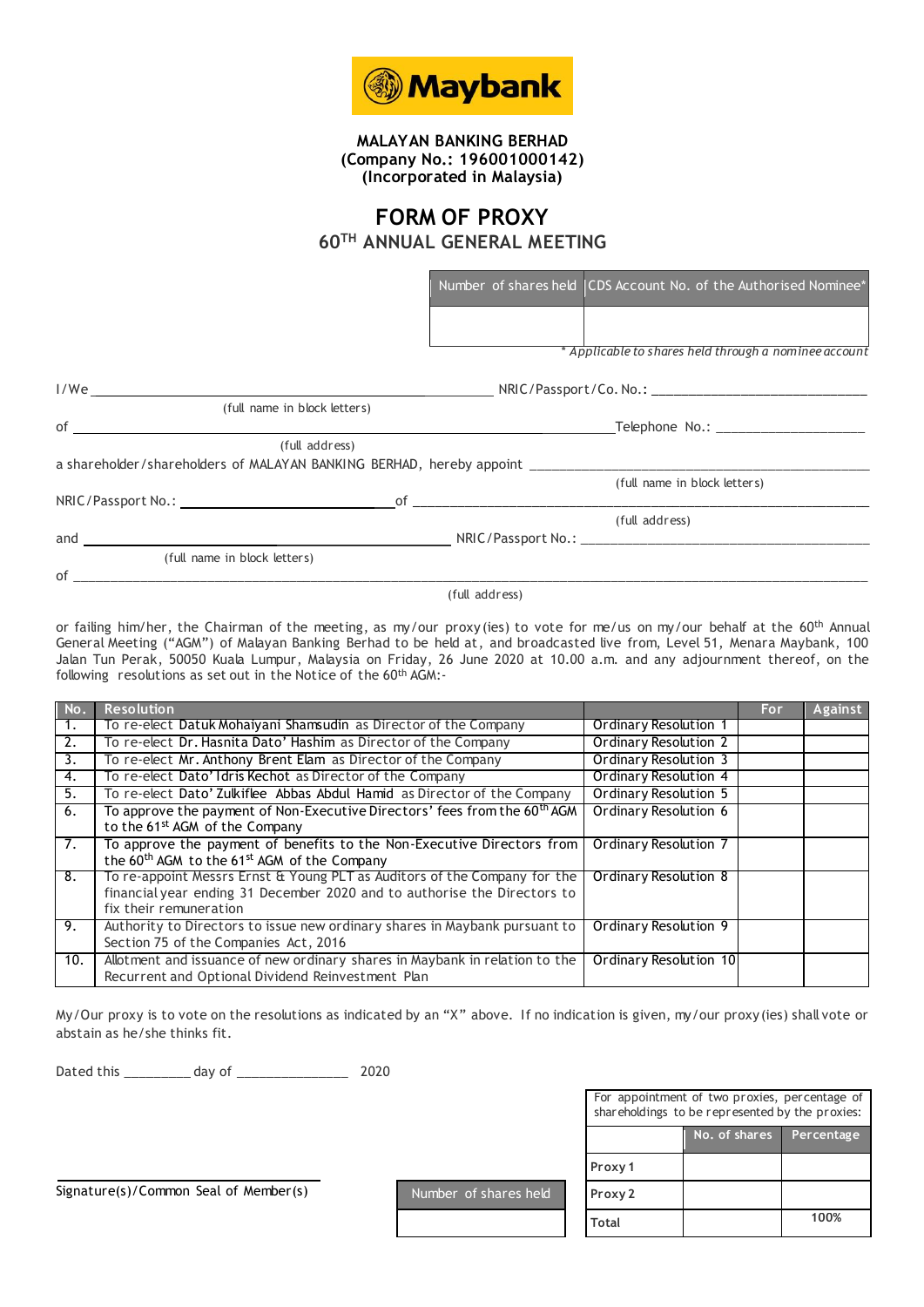

**MALAYAN BANKING BERHAD (Company No.: 196001000142) (Incorporated in Malaysia)**

## **FORM OF PROXY**

**60TH ANNUAL GENERAL MEETING**

|                                                                                                              |                | Number of shares held CDS Account No. of the Authorised Nominee* |
|--------------------------------------------------------------------------------------------------------------|----------------|------------------------------------------------------------------|
|                                                                                                              |                |                                                                  |
|                                                                                                              |                | * Applicable to shares held through a nominee account            |
|                                                                                                              |                |                                                                  |
| (full name in block letters)                                                                                 |                |                                                                  |
| $\mathsf{of}$ . The contract of $\mathsf{C}$ is the contract of $\mathsf{C}$ is the contract of $\mathsf{C}$ |                | Telephone No.: ____________________                              |
| (full address)                                                                                               |                |                                                                  |
| a shareholder/shareholders of MALAYAN BANKING BERHAD, hereby appoint ______________________________          |                |                                                                  |
|                                                                                                              |                | (full name in block letters)                                     |
|                                                                                                              |                |                                                                  |
|                                                                                                              |                | (full address)                                                   |
|                                                                                                              |                |                                                                  |
| (full name in block letters)                                                                                 |                |                                                                  |
|                                                                                                              |                |                                                                  |
|                                                                                                              | (full address) |                                                                  |
|                                                                                                              |                |                                                                  |

or failing him/her, the Chairman of the meeting, as my/our proxy (ies) to vote for me/us on my/our behalf at the 60<sup>th</sup> Annual General Meeting ("AGM") of Malayan Banking Berhad to be held at, and broadcasted live from, Level 51, Menara Maybank, 100 Jalan Tun Perak, 50050 Kuala Lumpur, Malaysia on Friday, 26 June 2020 at 10.00 a.m. and any adjournment thereof, on the following resolutions as set out in the Notice of the 60th AGM:-

| No. | <b>Resolution</b>                                                                                                                                                               |                              | For | Against |
|-----|---------------------------------------------------------------------------------------------------------------------------------------------------------------------------------|------------------------------|-----|---------|
|     | To re-elect Datuk Mohaiyani Shamsudin as Director of the Company                                                                                                                | Ordinary Resolution 1        |     |         |
| 2.  | To re-elect Dr. Hasnita Dato' Hashim as Director of the Company                                                                                                                 | Ordinary Resolution 2        |     |         |
| 3.  | To re-elect Mr. Anthony Brent Elam as Director of the Company                                                                                                                   | <b>Ordinary Resolution 3</b> |     |         |
| 4.  | To re-elect Dato' Idris Kechot as Director of the Company                                                                                                                       | Ordinary Resolution 4        |     |         |
| 5.  | To re-elect Dato' Zulkiflee Abbas Abdul Hamid as Director of the Company                                                                                                        | <b>Ordinary Resolution 5</b> |     |         |
| 6.  | To approve the payment of Non-Executive Directors' fees from the 60 <sup>th</sup> AGM                                                                                           | <b>Ordinary Resolution 6</b> |     |         |
|     | to the 61 <sup>st</sup> AGM of the Company                                                                                                                                      |                              |     |         |
| 7.  | To approve the payment of benefits to the Non-Executive Directors from<br>the 60 <sup>th</sup> AGM to the 61 <sup>st</sup> AGM of the Company                                   | Ordinary Resolution 7        |     |         |
| 8.  | To re-appoint Messrs Ernst & Young PLT as Auditors of the Company for the<br>financial year ending 31 December 2020 and to authorise the Directors to<br>fix their remuneration | Ordinary Resolution 8        |     |         |
| 9.  | Authority to Directors to issue new ordinary shares in Maybank pursuant to<br>Section 75 of the Companies Act, 2016                                                             | Ordinary Resolution 9        |     |         |
| 10. | Allotment and issuance of new ordinary shares in Maybank in relation to the<br>Recurrent and Optional Dividend Reinvestment Plan                                                | Ordinary Resolution 10       |     |         |

My/Our proxy is to vote on the resolutions as indicated by an "X" above. If no indication is given, my/our proxy(ies) shall vote or abstain as he/she thinks fit.

Dated this \_\_\_\_\_\_\_\_\_ day of \_\_\_\_\_\_\_\_\_\_\_\_\_\_\_ 2020

| For appointment of two proxies, percentage of<br>shareholdings to be represented by the proxies: |               |            |  |  |  |
|--------------------------------------------------------------------------------------------------|---------------|------------|--|--|--|
|                                                                                                  | No. of shares | Percentage |  |  |  |
| Proxy 1                                                                                          |               |            |  |  |  |
| Proxy 2                                                                                          |               |            |  |  |  |
| Total                                                                                            |               | 100%       |  |  |  |

Signature(s)/Common Seal of Member(s) Number of shares held